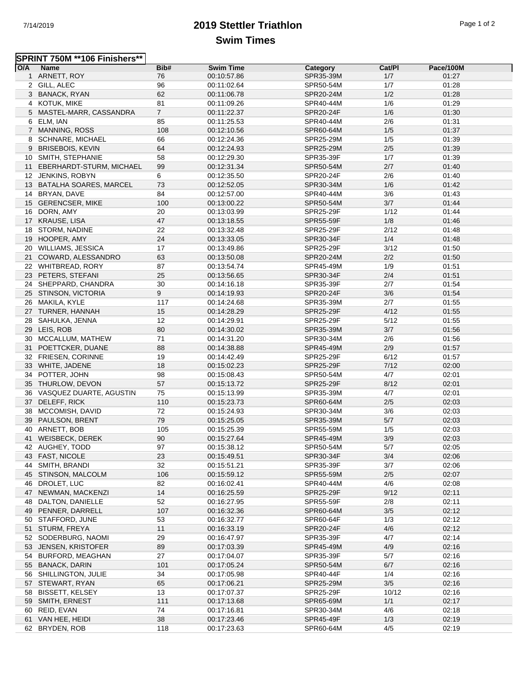## 7/14/2019 **2019 Stettler Triathlon** Page 1 of 2 **Swim Times**

|     | SPRINT 750M **106 Finishers** |                |                  |           |        |           |  |
|-----|-------------------------------|----------------|------------------|-----------|--------|-----------|--|
| O/A | <b>Name</b>                   | Bib#           | <b>Swim Time</b> | Category  | Cat/PI | Pace/100M |  |
|     | 1 ARNETT, ROY                 | 76             | 00:10:57.86      | SPR35-39M | 1/7    | 01:27     |  |
|     | 2 GILL, ALEC                  | 96             | 00:11:02.64      | SPR50-54M | 1/7    | 01:28     |  |
|     | 3 BANACK, RYAN                | 62             | 00:11:06.78      | SPR20-24M | 1/2    | 01:28     |  |
|     | 4 KOTUK, MIKE                 | 81             | 00:11:09.26      | SPR40-44M | 1/6    | 01:29     |  |
|     | 5 MASTEL-MARR, CASSANDRA      | $\overline{7}$ | 00:11:22.37      | SPR20-24F | 1/6    | 01:30     |  |
|     | 6 ELM, IAN                    | 85             | 00:11:25.53      | SPR40-44M | 2/6    | 01:31     |  |
|     | 7 MANNING, ROSS               | 108            | 00:12:10.56      | SPR60-64M | 1/5    | 01:37     |  |
|     | 8 SCHNARE, MICHAEL            | 66             | 00:12:24.36      | SPR25-29M | 1/5    | 01:39     |  |
|     | 9 BRISEBOIS, KEVIN            | 64             | 00:12:24.93      | SPR25-29M | $2/5$  | 01:39     |  |
|     | 10 SMITH, STEPHANIE           | 58             | 00:12:29.30      | SPR35-39F | 1/7    | 01:39     |  |
|     | 11 EBERHARDT-STURM, MICHAEL   | 99             | 00:12:31.34      | SPR50-54M | 2/7    | 01:40     |  |
|     | 12 JENKINS, ROBYN             | 6              | 00:12:35.50      | SPR20-24F | 2/6    | 01:40     |  |
|     | 13 BATALHA SOARES, MARCEL     | 73             | 00:12:52.05      | SPR30-34M | 1/6    | 01:42     |  |
|     | 14 BRYAN, DAVE                | 84             | 00:12:57.00      | SPR40-44M | 3/6    | 01:43     |  |
|     | 15 GERENCSER, MIKE            | 100            | 00:13:00.22      | SPR50-54M | 3/7    | 01:44     |  |
|     | 16 DORN, AMY                  | 20             | 00:13:03.99      | SPR25-29F | 1/12   | 01:44     |  |
|     | 17 KRAUSE, LISA               | 47             | 00:13:18.55      | SPR55-59F | 1/8    | 01:46     |  |
|     | 18 STORM, NADINE              | 22             | 00:13:32.48      | SPR25-29F | 2/12   | 01:48     |  |
|     | 19 HOOPER, AMY                | 24             | 00:13:33.05      | SPR30-34F | 1/4    | 01:48     |  |
|     | 20 WILLIAMS, JESSICA          | 17             | 00:13:49.86      | SPR25-29F | 3/12   | 01:50     |  |
|     | 21 COWARD, ALESSANDRO         | 63             |                  | SPR20-24M | 2/2    | 01:50     |  |
|     | 22 WHITBREAD, RORY            | 87             | 00:13:50.08      | SPR45-49M | 1/9    | 01:51     |  |
|     |                               |                | 00:13:54.74      |           |        |           |  |
|     | 23 PETERS, STEFANI            | 25             | 00:13:56.65      | SPR30-34F | 2/4    | 01:51     |  |
|     | 24 SHEPPARD, CHANDRA          | 30             | 00:14:16.18      | SPR35-39F | 2/7    | 01:54     |  |
|     | 25 STINSON, VICTORIA          | 9              | 00:14:19.93      | SPR20-24F | 3/6    | 01:54     |  |
|     | 26 MAKILA, KYLE               | 117            | 00:14:24.68      | SPR35-39M | 2/7    | 01:55     |  |
|     | 27 TURNER, HANNAH             | 15             | 00:14:28.29      | SPR25-29F | 4/12   | 01:55     |  |
|     | 28 SAHULKA, JENNA             | 12             | 00:14:29.91      | SPR25-29F | 5/12   | 01:55     |  |
|     | 29 LEIS, ROB                  | 80             | 00:14:30.02      | SPR35-39M | 3/7    | 01:56     |  |
|     | 30 MCCALLUM, MATHEW           | 71             | 00:14:31.20      | SPR30-34M | 2/6    | 01:56     |  |
| 31  | POETTCKER, DUANE              | 88             | 00:14:38.88      | SPR45-49M | 2/9    | 01:57     |  |
|     | 32 FRIESEN, CORINNE           | 19             | 00:14:42.49      | SPR25-29F | 6/12   | 01:57     |  |
|     | 33 WHITE, JADENE              | 18             | 00:15:02.23      | SPR25-29F | 7/12   | 02:00     |  |
| 34  | POTTER, JOHN                  | 98             | 00:15:08.43      | SPR50-54M | 4/7    | 02:01     |  |
|     | 35 THURLOW, DEVON             | 57             | 00:15:13.72      | SPR25-29F | 8/12   | 02:01     |  |
|     | 36 VASQUEZ DUARTE, AGUSTIN    | 75             | 00:15:13.99      | SPR35-39M | 4/7    | 02:01     |  |
|     | 37 DELEFF, RICK               | 110            | 00:15:23.73      | SPR60-64M | 2/5    | 02:03     |  |
|     | 38 MCCOMISH, DAVID            | 72             | 00:15:24.93      | SPR30-34M | 3/6    | 02:03     |  |
|     | 39 PAULSON, BRENT             | 79             | 00:15:25.05      | SPR35-39M | 5/7    | 02:03     |  |
|     | 40 ARNETT, BOB                | 105            | 00:15:25.39      | SPR55-59M | 1/5    | 02:03     |  |
|     | 41 WEISBECK, DEREK            | 90             | 00:15:27.64      | SPR45-49M | $3/9$  | 02:03     |  |
|     | 42 AUGHEY, TODD               | 97             | 00:15:38.12      | SPR50-54M | 5/7    | 02:05     |  |
|     | 43 FAST, NICOLE               | 23             | 00:15:49.51      | SPR30-34F | 3/4    | 02:06     |  |
|     | 44 SMITH, BRANDI              | 32             | 00:15:51.21      | SPR35-39F | 3/7    | 02:06     |  |
|     | 45 STINSON, MALCOLM           | 106            | 00:15:59.12      | SPR55-59M | 2/5    | 02:07     |  |
|     | 46 DROLET, LUC                | 82             | 00:16:02.41      | SPR40-44M | 4/6    | 02:08     |  |
|     | 47 NEWMAN, MACKENZI           | 14             | 00:16:25.59      | SPR25-29F | 9/12   | 02:11     |  |
|     | 48 DALTON, DANIELLE           | 52             | 00:16:27.95      | SPR55-59F | 2/8    | 02:11     |  |
|     | 49 PENNER, DARRELL            | 107            | 00:16:32.36      | SPR60-64M | 3/5    | 02:12     |  |
|     | 50 STAFFORD, JUNE             | 53             | 00:16:32.77      | SPR60-64F | 1/3    | 02:12     |  |
|     | 51 STURM, FREYA               | 11             | 00:16:33.19      | SPR20-24F | 4/6    | 02:12     |  |
|     | 52 SODERBURG, NAOMI           | 29             | 00:16:47.97      | SPR35-39F | 4/7    | 02:14     |  |
|     | 53 JENSEN, KRISTOFER          | 89             | 00:17:03.39      | SPR45-49M | 4/9    | 02:16     |  |
| 54  | <b>BURFORD, MEAGHAN</b>       | 27             | 00:17:04.07      | SPR35-39F | 5/7    | 02:16     |  |
|     | 55 BANACK, DARIN              | 101            | 00:17:05.24      | SPR50-54M | 6/7    | 02:16     |  |
|     | 56 SHILLINGTON, JULIE         | 34             | 00:17:05.98      | SPR40-44F | 1/4    | 02:16     |  |
|     | 57 STEWART, RYAN              | 65             | 00:17:06.21      | SPR25-29M | 3/5    | 02:16     |  |
| 58  | <b>BISSETT, KELSEY</b>        | 13             | 00:17:07.37      | SPR25-29F | 10/12  | 02:16     |  |
|     | 59 SMITH, ERNEST              | 111            | 00:17:13.68      | SPR65-69M | 1/1    | 02:17     |  |
| 60  | REID, EVAN                    | 74             | 00:17:16.81      | SPR30-34M | 4/6    | 02:18     |  |
|     | 61 VAN HEE, HEIDI             | 38             | 00:17:23.46      | SPR45-49F | 1/3    | 02:19     |  |
|     |                               | 118            |                  |           | 4/5    | 02:19     |  |
|     | 62 BRYDEN, ROB                |                | 00:17:23.63      | SPR60-64M |        |           |  |